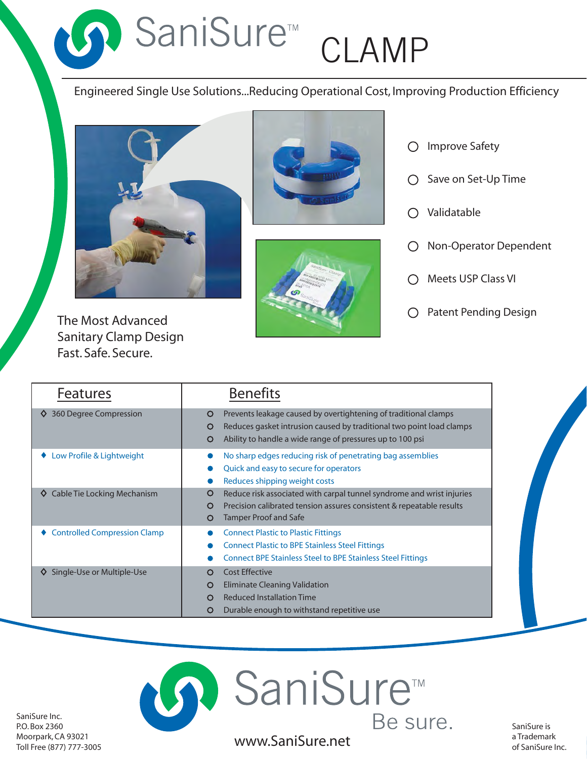SaniSure<sup>m</sup> CLAMP

# Engineered Single Use Solutions...Reducing Operational Cost, Improving Production Efficiency



Sanitary Clamp Design Fast. Safe. Secure.





- Improve Safety  $\bigcirc$ Save on Set-Up Time  $\bigcirc$ Validatable  $\bigcirc$ Non-Operator Dependent  $\bigcirc$ Meets USP Class VI  $\bigcirc$ 
	-

| <b>Features</b>                     | <b>Benefits</b>                                                                                                                                                                                                     |
|-------------------------------------|---------------------------------------------------------------------------------------------------------------------------------------------------------------------------------------------------------------------|
| 360 Degree Compression              | Prevents leakage caused by overtightening of traditional clamps<br>O<br>Reduces gasket intrusion caused by traditional two point load clamps<br>O<br>Ability to handle a wide range of pressures up to 100 psi<br>O |
| Low Profile & Lightweight           | No sharp edges reducing risk of penetrating bag assemblies<br>Quick and easy to secure for operators<br>Reduces shipping weight costs                                                                               |
| Cable Tie Locking Mechanism<br>♦    | Reduce risk associated with carpal tunnel syndrome and wrist injuries<br>Ő<br>Precision calibrated tension assures consistent & repeatable results<br>O<br><b>Tamper Proof and Safe</b><br>O                        |
| <b>Controlled Compression Clamp</b> | <b>Connect Plastic to Plastic Fittings</b><br><b>Connect Plastic to BPE Stainless Steel Fittings</b><br><b>Connect BPE Stainless Steel to BPE Stainless Steel Fittings</b>                                          |
| Single-Use or Multiple-Use          | <b>Cost Effective</b><br>$\Omega$<br><b>Eliminate Cleaning Validation</b><br>O<br><b>Reduced Installation Time</b><br>O<br>Durable enough to withstand repetitive use<br>O                                          |

SaniSure Inc. P.O. Box 2360 Moorpark, CA 93021 Toll Free (877) 777-3005

www.SaniSure.net a Trademark a Trademark of SaniSure Inc.

? SaniSure™

Be sure.

SaniSure is